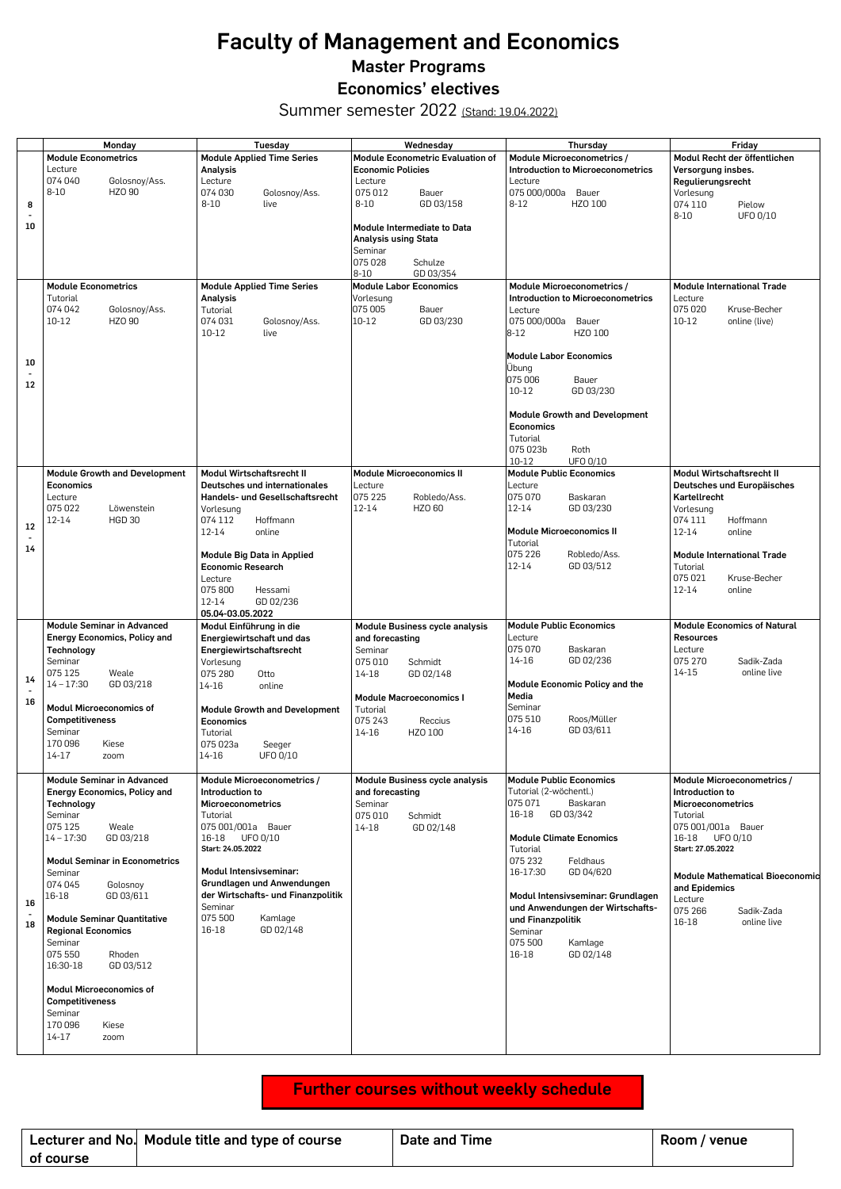## **Faculty of Management and Economics Master Programs Economics' electives**

Summer semester 2022 (Stand: 19.04.2022)

|                            | Monday                                            | Tuesday                              | Wednesday                        | Thursday                                          | Friday                                 |
|----------------------------|---------------------------------------------------|--------------------------------------|----------------------------------|---------------------------------------------------|----------------------------------------|
|                            | <b>Module Econometrics</b>                        | <b>Module Applied Time Series</b>    | Module Econometric Evaluation of | Module Microeconometrics /                        | Modul Recht der öffentlichen           |
|                            | Lecture                                           | Analysis                             | <b>Economic Policies</b>         | Introduction to Microeconometrics                 | Versorgung insbes.                     |
|                            | 074 040<br>Golosnoy/Ass.                          | Lecture                              | Lecture                          | Lecture                                           | Regulierungsrecht                      |
|                            | $8 - 10$<br>HZO 90                                | 074 030<br>Golosnoy/Ass.             | 075 012<br>Bauer                 | 075 000/000a Bauer                                | Vorlesung                              |
| 8                          |                                                   | $8 - 10$<br>live                     | $8 - 10$<br>GD 03/158            | $8 - 12$<br>HZO 100                               | 074 110<br>Pielow                      |
|                            |                                                   |                                      |                                  |                                                   | UFO 0/10<br>$8 - 10$                   |
| 10                         |                                                   |                                      | Module Intermediate to Data      |                                                   |                                        |
|                            |                                                   |                                      | Analysis using Stata             |                                                   |                                        |
|                            |                                                   |                                      | Seminar                          |                                                   |                                        |
|                            |                                                   |                                      | 075028<br>Schulze                |                                                   |                                        |
|                            |                                                   |                                      | $8 - 10$<br>GD 03/354            |                                                   |                                        |
|                            | <b>Module Econometrics</b>                        | <b>Module Applied Time Series</b>    | <b>Module Labor Economics</b>    | Module Microeconometrics /                        | <b>Module International Trade</b>      |
|                            | Tutorial                                          | Analysis                             | Vorlesung                        | Introduction to Microeconometrics                 | Lecture                                |
|                            | 074 042<br>Golosnoy/Ass.                          | Tutorial                             | 075 005<br>Bauer                 | Lecture                                           | 075 020<br>Kruse-Becher                |
|                            | 10-12<br>HZO 90                                   | 074 031<br>Golosnoy/Ass.             | 10-12<br>GD 03/230               | 075 000/000a<br>Bauer                             | $10 - 12$<br>online (live)             |
|                            |                                                   | $10 - 12$<br>live                    |                                  | 8-12<br>HZO 100                                   |                                        |
|                            |                                                   |                                      |                                  |                                                   |                                        |
| 10                         |                                                   |                                      |                                  | <b>Module Labor Economics</b>                     |                                        |
| $\blacksquare$             |                                                   |                                      |                                  | Übung                                             |                                        |
| 12                         |                                                   |                                      |                                  | 075 006<br>Bauer                                  |                                        |
|                            |                                                   |                                      |                                  | $10 - 12$<br>GD 03/230                            |                                        |
|                            |                                                   |                                      |                                  |                                                   |                                        |
|                            |                                                   |                                      |                                  | <b>Module Growth and Development</b><br>Economics |                                        |
|                            |                                                   |                                      |                                  | Tutorial                                          |                                        |
|                            |                                                   |                                      |                                  | 075 023b<br>Roth                                  |                                        |
|                            |                                                   |                                      |                                  | $10 - 12$<br>UFO 0/10                             |                                        |
|                            | <b>Module Growth and Development</b>              | Modul Wirtschaftsrecht II            | <b>Module Microeconomics II</b>  | <b>Module Public Economics</b>                    | Modul Wirtschaftsrecht II              |
|                            | <b>Economics</b>                                  | Deutsches und internationales        | Lecture                          | Lecture                                           | Deutsches und Europäisches             |
|                            | Lecture                                           | Handels- und Gesellschaftsrecht      | 075 225<br>Robledo/Ass.          | 075 070<br>Baskaran                               | Kartellrecht                           |
|                            | 075 022<br>Löwenstein                             | Vorlesung                            | 12-14<br>HZO 60                  | 12-14<br>GD 03/230                                | Vorlesung                              |
|                            | 12-14<br><b>HGD 30</b>                            | 074 112<br>Hoffmann                  |                                  |                                                   | 074 111<br>Hoffmann                    |
| 12                         |                                                   | 12-14<br>online                      |                                  | <b>Module Microeconomics II</b>                   | $12 - 14$<br>online                    |
| $\ddot{\phantom{0}}$<br>14 |                                                   |                                      |                                  | Tutorial                                          |                                        |
|                            |                                                   | Module Big Data in Applied           |                                  | 075 226<br>Robledo/Ass.                           | <b>Module International Trade</b>      |
|                            |                                                   | <b>Economic Research</b>             |                                  | 12-14<br>GD 03/512                                | Tutorial                               |
|                            |                                                   | Lecture                              |                                  |                                                   | 075 021<br>Kruse-Becher                |
|                            |                                                   | 075 800<br>Hessami                   |                                  |                                                   | $12 - 14$<br>online                    |
|                            |                                                   | $12 - 14$<br>GD 02/236               |                                  |                                                   |                                        |
|                            |                                                   | 05.04-03.05.2022                     |                                  |                                                   |                                        |
|                            | Module Seminar in Advanced                        | Modul Einführung in die              | Module Business cycle analysis   | <b>Module Public Economics</b>                    | <b>Module Economics of Natural</b>     |
|                            | <b>Energy Economics, Policy and</b>               | Energiewirtschaft und das            | and forecasting                  | Lecture                                           | <b>Resources</b>                       |
|                            | Technology                                        | Energiewirtschaftsrecht              | Seminar                          | 075 070<br>Baskaran                               | Lecture                                |
|                            | Seminar                                           | Vorlesung                            | 075 010<br>Schmidt               | $14 - 16$<br>GD 02/236                            | 075 270<br>Sadik-Zada                  |
| 14                         | 075 125<br>Weale                                  | 075 280<br>Otto                      | 14-18<br>GD 02/148               |                                                   | 14-15<br>online live                   |
|                            | $14 - 17:30$<br>GD 03/218                         | 14-16<br>online                      |                                  | Module Economic Policy and the                    |                                        |
| 16                         |                                                   |                                      | <b>Module Macroeconomics I</b>   | Media<br>Seminar                                  |                                        |
|                            | Modul Microeconomics of<br><b>Competitiveness</b> | <b>Module Growth and Development</b> | Tutorial                         | 075 510<br>Roos/Müller                            |                                        |
|                            | Seminar                                           | Economics                            | 075 243<br>Reccius               | GD 03/611<br>14-16                                |                                        |
|                            | 170 096<br>Kiese                                  | Tutorial<br>075 023a                 | $14 - 16$<br>HZO 100             |                                                   |                                        |
|                            | 14-17<br>zoom                                     | Seeger<br>14-16<br>UFO 0/10          |                                  |                                                   |                                        |
|                            |                                                   |                                      |                                  |                                                   |                                        |
|                            | Module Seminar in Advanced                        | Module Microeconometrics /           | Module Business cycle analysis   | <b>Module Public Economics</b>                    | Module Microeconometrics /             |
|                            | <b>Energy Economics, Policy and</b>               | Introduction to                      | and forecasting                  | Tutorial (2-wöchentl.)                            | Introduction to                        |
|                            | Technology                                        | Microeconometrics                    | Seminar                          | 075 071<br>Baskaran                               | Microeconometrics                      |
|                            | Seminar                                           | Tutorial                             | 075 010<br>Schmidt               | 16-18<br>GD 03/342                                | Tutorial                               |
|                            | 075 125<br>Weale                                  | 075 001/001a Bauer                   | 14-18<br>GD 02/148               |                                                   | 075 001/001a Bauer                     |
|                            | $14 - 17:30$<br>GD 03/218                         | 16-18 UFO 0/10                       |                                  | <b>Module Climate Ecnomics</b>                    | 16-18 UFO 0/10                         |
|                            |                                                   | Start: 24.05.2022                    |                                  | Tutorial                                          | Start: 27.05.2022                      |
|                            | <b>Modul Seminar in Econometrics</b>              |                                      |                                  | 075 232<br>Feldhaus                               |                                        |
|                            | Seminar                                           | Modul Intensivseminar:               |                                  | 16-17:30<br>GD 04/620                             | <b>Module Mathematical Bioeconomic</b> |
|                            | 074 045<br>Golosnoy                               | Grundlagen und Anwendungen           |                                  |                                                   | and Epidemics                          |
| 16                         | 16-18<br>GD 03/611                                | der Wirtschafts- und Finanzpolitik   |                                  | Modul Intensivseminar: Grundlagen                 | Lecture                                |
|                            |                                                   | Seminar                              |                                  | und Anwendungen der Wirtschafts-                  | 075 266<br>Sadik-Zada                  |
| 18                         | <b>Module Seminar Quantitative</b>                | 075 500<br>Kamlage                   |                                  | und Finanzpolitik                                 | 16-18<br>online live                   |
|                            | <b>Regional Economics</b>                         | GD 02/148<br>16-18                   |                                  | Seminar                                           |                                        |
|                            | Seminar                                           |                                      |                                  | 075 500<br>Kamlage                                |                                        |
|                            | 075 550<br>Rhoden                                 |                                      |                                  | 16-18<br>GD 02/148                                |                                        |
|                            | 16:30-18<br>GD 03/512                             |                                      |                                  |                                                   |                                        |
|                            |                                                   |                                      |                                  |                                                   |                                        |
|                            | Modul Microeconomics of                           |                                      |                                  |                                                   |                                        |
|                            | <b>Competitiveness</b>                            |                                      |                                  |                                                   |                                        |
|                            | Seminar                                           |                                      |                                  |                                                   |                                        |
|                            | 170 096<br>Kiese                                  |                                      |                                  |                                                   |                                        |
|                            | $14 - 17$<br>zoom                                 |                                      |                                  |                                                   |                                        |
|                            |                                                   |                                      |                                  |                                                   |                                        |

## **Further courses without weekly schedule**

|           | Lecturer and No. Module title and type of course | Date and Time | Room / venue |
|-----------|--------------------------------------------------|---------------|--------------|
| of course |                                                  |               |              |